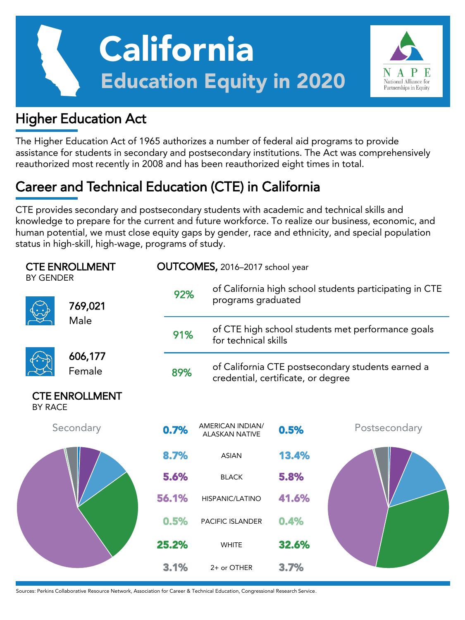



The Higher Education Act of 1965 authorizes a number of federal aid programs to provide assistance for students in secondary and postsecondary institutions. The Act was comprehensively reauthorized most recently in 2008 and has been reauthorized eight times in total.

National Alliance for Partnerships in Equity

## Career and Technical Education (CTE) in California

CTE provides secondary and postsecondary students with academic and technical skills and knowledge to prepare for the current and future workforce. To realize our business, economic, and human potential, we must close equity gaps by gender, race and ethnicity, and special population status in high-skill, high-wage, programs of study.

| <b>CTE ENROLLMENT</b><br><b>BY GENDER</b> |                       |       | OUTCOMES, 2016-2017 school year           |                                                                                         |               |  |  |  |  |
|-------------------------------------------|-----------------------|-------|-------------------------------------------|-----------------------------------------------------------------------------------------|---------------|--|--|--|--|
|                                           | 769,021               | 92%   |                                           | of California high school students participating in CTE<br>programs graduated           |               |  |  |  |  |
|                                           | Male                  | 91%   |                                           | of CTE high school students met performance goals<br>for technical skills               |               |  |  |  |  |
|                                           | 606,177<br>Female     | 89%   |                                           | of California CTE postsecondary students earned a<br>credential, certificate, or degree |               |  |  |  |  |
| <b>BY RACE</b>                            | <b>CTE ENROLLMENT</b> |       |                                           |                                                                                         |               |  |  |  |  |
|                                           | Secondary             | 0.7%  | AMERICAN INDIAN/<br><b>ALASKAN NATIVE</b> | 0.5%                                                                                    | Postsecondary |  |  |  |  |
|                                           |                       | 8.7%  | <b>ASIAN</b>                              | 13.4%                                                                                   |               |  |  |  |  |
|                                           |                       | 5.6%  | <b>BLACK</b>                              | 5.8%                                                                                    |               |  |  |  |  |
|                                           |                       | 56.1% | HISPANIC/LATINO                           | 41.6%                                                                                   |               |  |  |  |  |
|                                           |                       | 0.5%  | <b>PACIFIC ISLANDER</b>                   | 0.4%                                                                                    |               |  |  |  |  |
|                                           |                       | 25.2% | <b>WHITE</b>                              | 32.6%                                                                                   |               |  |  |  |  |
|                                           |                       | 3.1%  | 2+ or OTHER                               | 3.7%                                                                                    |               |  |  |  |  |

Sources: Perkins Collaborative Resource Network, Association for Career & Technical Education, Congressional Research Service.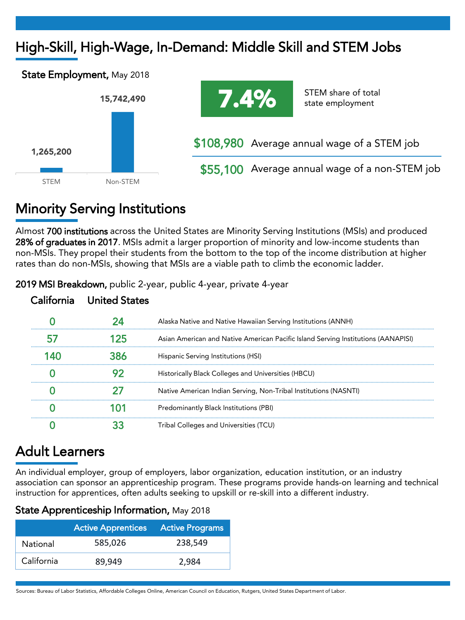## High-Skill, High-Wage, In-Demand: Middle Skill and STEM Jobs





STEM share of total state employment

\$108,980 Average annual wage of a STEM job

\$55,100 Average annual wage of a non-STEM job

## Minority Serving Institutions

Almost 700 institutions across the United States are Minority Serving Institutions (MSIs) and produced 28% of graduates in 2017. MSIs admit a larger proportion of minority and low-income students than non-MSIs. They propel their students from the bottom to the top of the income distribution at higher rates than do non-MSIs, showing that MSIs are a viable path to climb the economic ladder.

| lifornia - United States |                                                                                   |
|--------------------------|-----------------------------------------------------------------------------------|
|                          | Alaska Native and Native Hawaiian Serving Institutions (ANNH)                     |
|                          | Asian American and Native American Pacific Island Serving Institutions (AANAPISI) |
|                          | Hispanic Serving Institutions (HSI)                                               |
|                          | Historically Black Colleges and Universities (HBCU)                               |
|                          | Native American Indian Serving, Non-Tribal Institutions (NASNTI)                  |
|                          | Predominantly Black Institutions (PBI)                                            |
|                          | Tribal Colleges and Universities (TCU)                                            |

2019 MSI Breakdown, public 2-year, public 4-year, private 4-year

## Adult Learners

An individual employer, group of employers, labor organization, education institution, or an industry association can sponsor an apprenticeship program. These programs provide hands-on learning and technical instruction for apprentices, often adults seeking to upskill or re-skill into a different industry.

|  |  |  | State Apprenticeship Information, May 2018 |  |  |
|--|--|--|--------------------------------------------|--|--|
|--|--|--|--------------------------------------------|--|--|

|            | <b>Active Apprentices</b> | <b>Active Programs</b> |  |  |  |
|------------|---------------------------|------------------------|--|--|--|
| National   | 585,026                   | 238.549                |  |  |  |
| California | 89.949                    | 2,984                  |  |  |  |

Sources: Bureau of Labor Statistics, Affordable Colleges Online, American Council on Education, Rutgers, United States Department of Labor.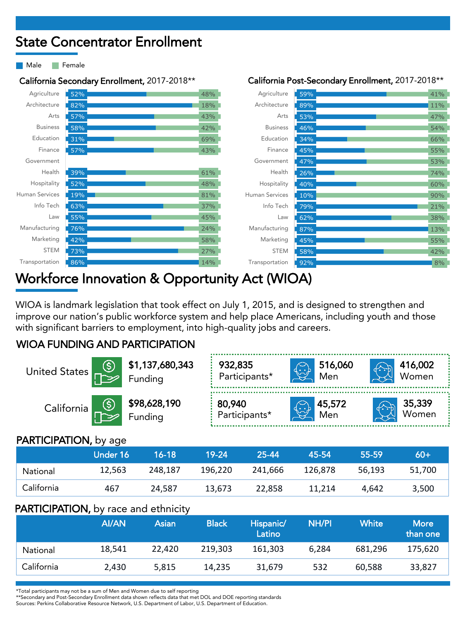## State Concentrator Enrollment

Male **Female** 

Agriculture Architecture Arts Business Education Finance Government Health Hospitality Human Services Info Tech Law Manufacturing Marketing STEM Transportation

52% 82% 57% 58% 31% 57%

39% 52% 19% 63% 55% 76% 42% 73% 86%



#### California Secondary Enrollment, 2017-2018\*\* California Post-Secondary Enrollment, 2017-2018\*\*

## Workforce Innovation & Opportunity Act (WIOA)

WIOA is landmark legislation that took effect on July 1, 2015, and is designed to strengthen and improve our nation's public workforce system and help place Americans, including youth and those with significant barriers to employment, into high-quality jobs and careers.

48% 18% 43% 42% 69% 43%

61% 48% 81% 37% 45% 24% 58% 27% 14%

### WIOA FUNDING AND PARTICIPATION

| United States                                                                                                                                         | \$1,137,680,343<br>▲ Funding   | 932,835<br>Participants* | طرننها      | 516,060<br>Men | 416,002<br>Women |                 |
|-------------------------------------------------------------------------------------------------------------------------------------------------------|--------------------------------|--------------------------|-------------|----------------|------------------|-----------------|
| California                                                                                                                                            | <b>\$98,628,190</b><br>Funding | 80,940<br>Participants*  | $\bigoplus$ | 45,572<br>Men  |                  | 35,339<br>Women |
| $\mathsf{D}\Lambda\mathsf{D}\mathsf{T}\mathsf{I}\cap\mathsf{D}\Lambda\mathsf{T}\mathsf{I}\cap\mathsf{D}\Lambda\mathsf{I}$ by $\mathsf{D}\alpha\alpha$ |                                |                          |             |                |                  |                 |

#### PARTICIPATION, by age

|            | Under 16 | $16 - 18$ | 19-24   | 25-44   | 45-54   | 55-59  | $60+$  |
|------------|----------|-----------|---------|---------|---------|--------|--------|
| National   | 12,563   | 248.187   | 196.220 | 241.666 | 126.878 | 56.193 | 51,700 |
| California | 467      | 24.587    | 13.673  | 22.858  | 11.214  | 4.642  | 3,500  |

#### PARTICIPATION, by race and ethnicity

|            | AI/AN  | Asian  | <b>Black</b> | Hispanic/<br>Latino | NH/PI | White   | <b>More</b><br>than one |
|------------|--------|--------|--------------|---------------------|-------|---------|-------------------------|
| National   | 18,541 | 22.420 | 219.303      | 161.303             | 6.284 | 681.296 | 175.620                 |
| California | 2.430  | 5.815  | 14.235       | 31.679              | 532   | 60.588  | 33,827                  |

\*Total participants may not be a sum of Men and Women due to self reporting

\*\*Secondary and Post-Secondary Enrollment data shown reflects data that met DOL and DOE reporting standards

Sources: Perkins Collaborative Resource Network, U.S. Department of Labor, U.S. Department of Education.